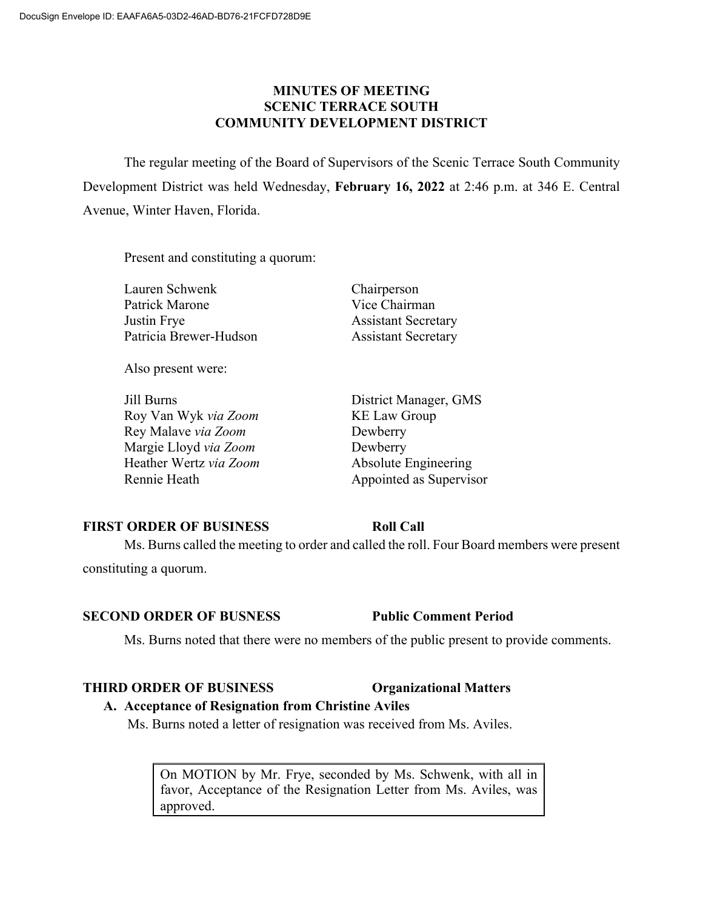### **MINUTES OF MEETING SCENIC TERRACE SOUTH COMMUNITY DEVELOPMENT DISTRICT**

The regular meeting of the Board of Supervisors of the Scenic Terrace South Community Development District was held Wednesday, **February 16, 2022** at 2:46 p.m. at 346 E. Central Avenue, Winter Haven, Florida.

Present and constituting a quorum:

Lauren Schwenk Chairperson Patrick Marone Vice Chairman Justin Frye Assistant Secretary Patricia Brewer-Hudson Assistant Secretary

Also present were:

Jill Burns District Manager, GMS Roy Van Wyk *via Zoom* KE Law Group Rey Malave *via Zoom* Dewberry Margie Lloyd *via Zoom* Dewberry Heather Wertz *via Zoom* Absolute Engineering

Rennie Heath Appointed as Supervisor

## **FIRST ORDER OF BUSINESS Roll Call**

Ms. Burns called the meeting to order and called the roll. Four Board members were present constituting a quorum.

## **SECOND ORDER OF BUSNESS Public Comment Period**

Ms. Burns noted that there were no members of the public present to provide comments.

## **THIRD ORDER OF BUSINESS Organizational Matters**

## **A. Acceptance of Resignation from Christine Aviles**

Ms. Burns noted a letter of resignation was received from Ms. Aviles.

On MOTION by Mr. Frye, seconded by Ms. Schwenk, with all in favor, Acceptance of the Resignation Letter from Ms. Aviles, was approved.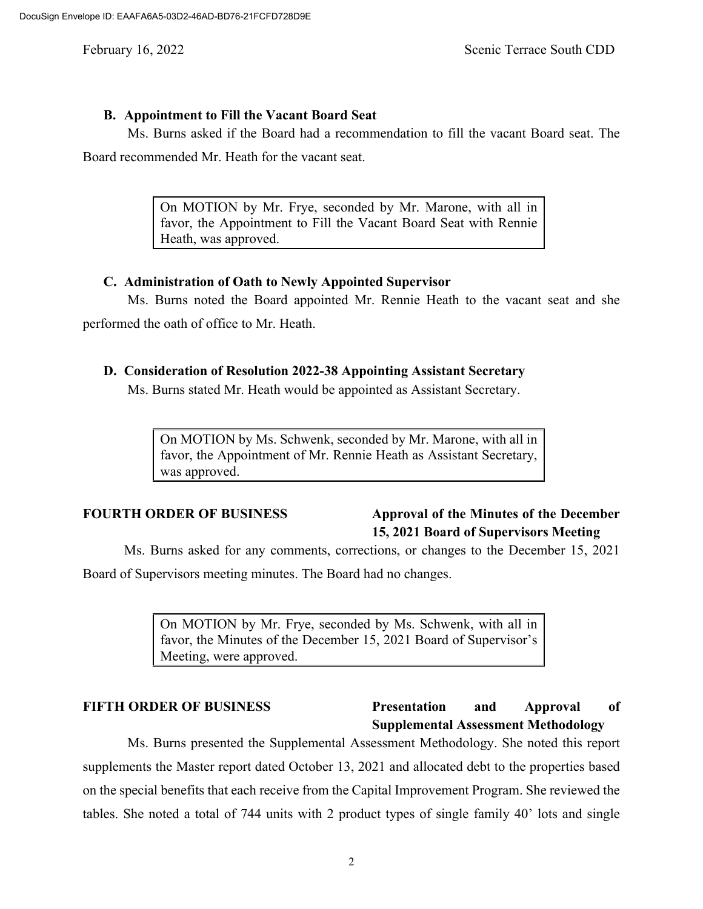#### **B. Appointment to Fill the Vacant Board Seat**

Ms. Burns asked if the Board had a recommendation to fill the vacant Board seat. The

Board recommended Mr. Heath for the vacant seat.

On MOTION by Mr. Frye, seconded by Mr. Marone, with all in favor, the Appointment to Fill the Vacant Board Seat with Rennie Heath, was approved.

### **C. Administration of Oath to Newly Appointed Supervisor**

Ms. Burns noted the Board appointed Mr. Rennie Heath to the vacant seat and she performed the oath of office to Mr. Heath.

#### **D. Consideration of Resolution 2022-38 Appointing Assistant Secretary**

Ms. Burns stated Mr. Heath would be appointed as Assistant Secretary.

On MOTION by Ms. Schwenk, seconded by Mr. Marone, with all in favor, the Appointment of Mr. Rennie Heath as Assistant Secretary, was approved.

# **FOURTH ORDER OF BUSINESS Approval of the Minutes of the December 15, 2021 Board of Supervisors Meeting**

Ms. Burns asked for any comments, corrections, or changes to the December 15, 2021

Board of Supervisors meeting minutes. The Board had no changes.

On MOTION by Mr. Frye, seconded by Ms. Schwenk, with all in favor, the Minutes of the December 15, 2021 Board of Supervisor's Meeting, were approved.

## **FIFTH ORDER OF BUSINESS Presentation and Approval of Supplemental Assessment Methodology**

Ms. Burns presented the Supplemental Assessment Methodology. She noted this report supplements the Master report dated October 13, 2021 and allocated debt to the properties based on the special benefits that each receive from the Capital Improvement Program. She reviewed the tables. She noted a total of 744 units with 2 product types of single family 40' lots and single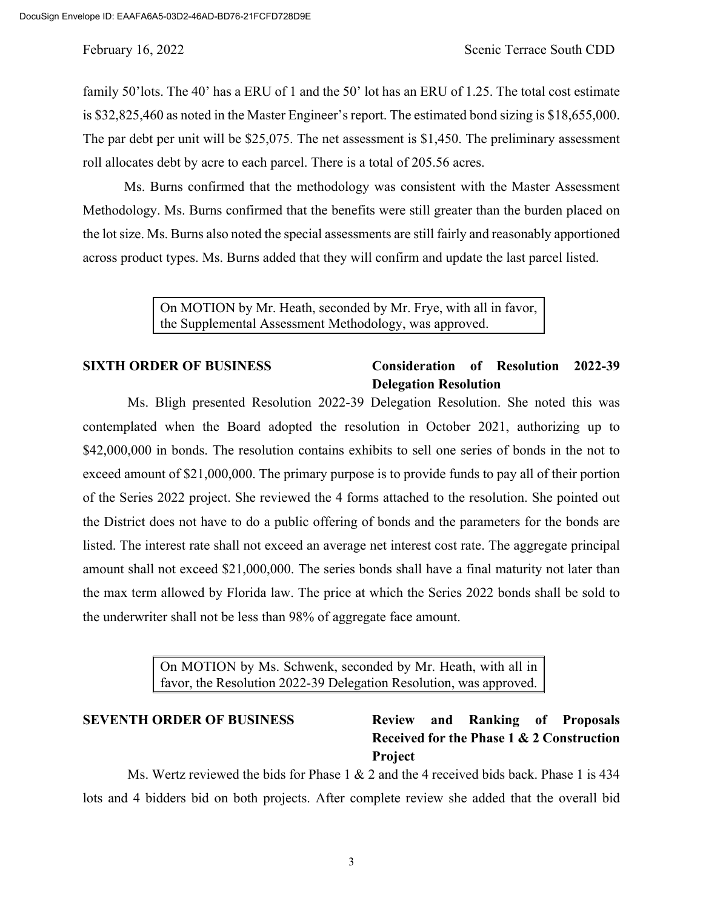family 50'lots. The 40' has a ERU of 1 and the 50' lot has an ERU of 1.25. The total cost estimate is \$32,825,460 as noted in the Master Engineer's report. The estimated bond sizing is \$18,655,000. The par debt per unit will be \$25,075. The net assessment is \$1,450. The preliminary assessment roll allocates debt by acre to each parcel. There is a total of 205.56 acres.

Ms. Burns confirmed that the methodology was consistent with the Master Assessment Methodology. Ms. Burns confirmed that the benefits were still greater than the burden placed on the lot size. Ms. Burns also noted the special assessments are still fairly and reasonably apportioned across product types. Ms. Burns added that they will confirm and update the last parcel listed.

> On MOTION by Mr. Heath, seconded by Mr. Frye, with all in favor, the Supplemental Assessment Methodology, was approved.

## **SIXTH ORDER OF BUSINESS Consideration of Resolution 2022-39 Delegation Resolution**

Ms. Bligh presented Resolution 2022-39 Delegation Resolution. She noted this was contemplated when the Board adopted the resolution in October 2021, authorizing up to \$42,000,000 in bonds. The resolution contains exhibits to sell one series of bonds in the not to exceed amount of \$21,000,000. The primary purpose is to provide funds to pay all of their portion of the Series 2022 project. She reviewed the 4 forms attached to the resolution. She pointed out the District does not have to do a public offering of bonds and the parameters for the bonds are listed. The interest rate shall not exceed an average net interest cost rate. The aggregate principal amount shall not exceed \$21,000,000. The series bonds shall have a final maturity not later than the max term allowed by Florida law. The price at which the Series 2022 bonds shall be sold to the underwriter shall not be less than 98% of aggregate face amount.

> On MOTION by Ms. Schwenk, seconded by Mr. Heath, with all in favor, the Resolution 2022-39 Delegation Resolution, was approved.

# **SEVENTH ORDER OF BUSINESS Review and Ranking of Proposals Received for the Phase 1 & 2 Construction Project**

Ms. Wertz reviewed the bids for Phase 1 & 2 and the 4 received bids back. Phase 1 is 434 lots and 4 bidders bid on both projects. After complete review she added that the overall bid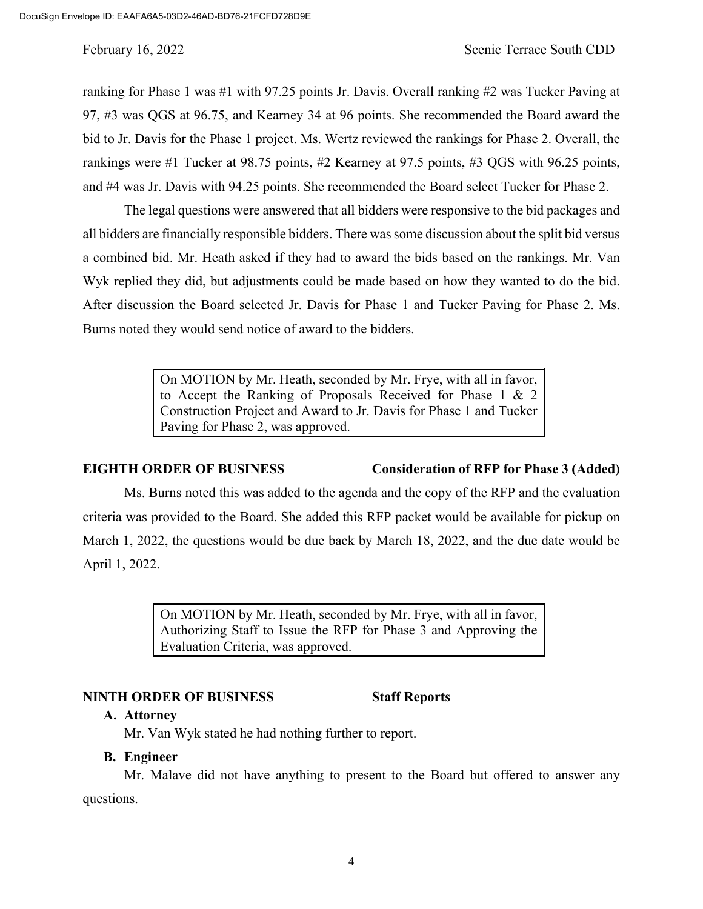ranking for Phase 1 was #1 with 97.25 points Jr. Davis. Overall ranking #2 was Tucker Paving at 97, #3 was QGS at 96.75, and Kearney 34 at 96 points. She recommended the Board award the bid to Jr. Davis for the Phase 1 project. Ms. Wertz reviewed the rankings for Phase 2. Overall, the rankings were #1 Tucker at 98.75 points, #2 Kearney at 97.5 points, #3 QGS with 96.25 points, and #4 was Jr. Davis with 94.25 points. She recommended the Board select Tucker for Phase 2.

The legal questions were answered that all bidders were responsive to the bid packages and all bidders are financially responsible bidders. There was some discussion about the split bid versus a combined bid. Mr. Heath asked if they had to award the bids based on the rankings. Mr. Van Wyk replied they did, but adjustments could be made based on how they wanted to do the bid. After discussion the Board selected Jr. Davis for Phase 1 and Tucker Paving for Phase 2. Ms. Burns noted they would send notice of award to the bidders.

> On MOTION by Mr. Heath, seconded by Mr. Frye, with all in favor, to Accept the Ranking of Proposals Received for Phase 1 & 2 Construction Project and Award to Jr. Davis for Phase 1 and Tucker Paving for Phase 2, was approved.

## **EIGHTH ORDER OF BUSINESS Consideration of RFP for Phase 3 (Added)**

Ms. Burns noted this was added to the agenda and the copy of the RFP and the evaluation criteria was provided to the Board. She added this RFP packet would be available for pickup on March 1, 2022, the questions would be due back by March 18, 2022, and the due date would be April 1, 2022.

> On MOTION by Mr. Heath, seconded by Mr. Frye, with all in favor, Authorizing Staff to Issue the RFP for Phase 3 and Approving the Evaluation Criteria, was approved.

## **NINTH ORDER OF BUSINESS Staff Reports**

### **A. Attorney**

Mr. Van Wyk stated he had nothing further to report.

## **B. Engineer**

Mr. Malave did not have anything to present to the Board but offered to answer any questions.